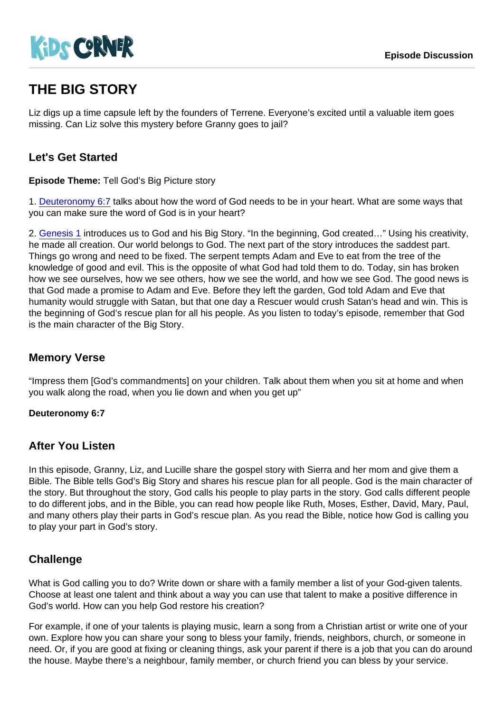# THE BIG STORY

Liz digs up a time capsule left by the founders of Terrene. Everyone's excited until a valuable item goes missing. Can Liz solve this mystery before Granny goes to jail?

## Let's Get Started

Episode Theme: Tell God's Big Picture story

1. [Deuteronomy 6:7](https://www.biblegateway.com/passage/?search=Deuteronomy+6:7) talks about how the word of God needs to be in your heart. What are some ways that you can make sure the word of God is in your heart?

2. [Genesis 1](https://www.biblegateway.com/passage/?search=Genesis+1) introduces us to God and his Big Story. "In the beginning, God created…" Using his creativity, he made all creation. Our world belongs to God. The next part of the story introduces the saddest part. Things go wrong and need to be fixed. The serpent tempts Adam and Eve to eat from the tree of the knowledge of good and evil. This is the opposite of what God had told them to do. Today, sin has broken how we see ourselves, how we see others, how we see the world, and how we see God. The good news is that God made a promise to Adam and Eve. Before they left the garden, God told Adam and Eve that humanity would struggle with Satan, but that one day a Rescuer would crush Satan's head and win. This is the beginning of God's rescue plan for all his people. As you listen to today's episode, remember that God is the main character of the Big Story.

#### Memory Verse

"Impress them [God's commandments] on your children. Talk about them when you sit at home and when you walk along the road, when you lie down and when you get up"

Deuteronomy 6:7

#### After You Listen

In this episode, Granny, Liz, and Lucille share the gospel story with Sierra and her mom and give them a Bible. The Bible tells God's Big Story and shares his rescue plan for all people. God is the main character of the story. But throughout the story, God calls his people to play parts in the story. God calls different people to do different jobs, and in the Bible, you can read how people like Ruth, Moses, Esther, David, Mary, Paul, and many others play their parts in God's rescue plan. As you read the Bible, notice how God is calling you to play your part in God's story.

### **Challenge**

What is God calling you to do? Write down or share with a family member a list of your God-given talents. Choose at least one talent and think about a way you can use that talent to make a positive difference in God's world. How can you help God restore his creation?

For example, if one of your talents is playing music, learn a song from a Christian artist or write one of your own. Explore how you can share your song to bless your family, friends, neighbors, church, or someone in need. Or, if you are good at fixing or cleaning things, ask your parent if there is a job that you can do around the house. Maybe there's a neighbour, family member, or church friend you can bless by your service.